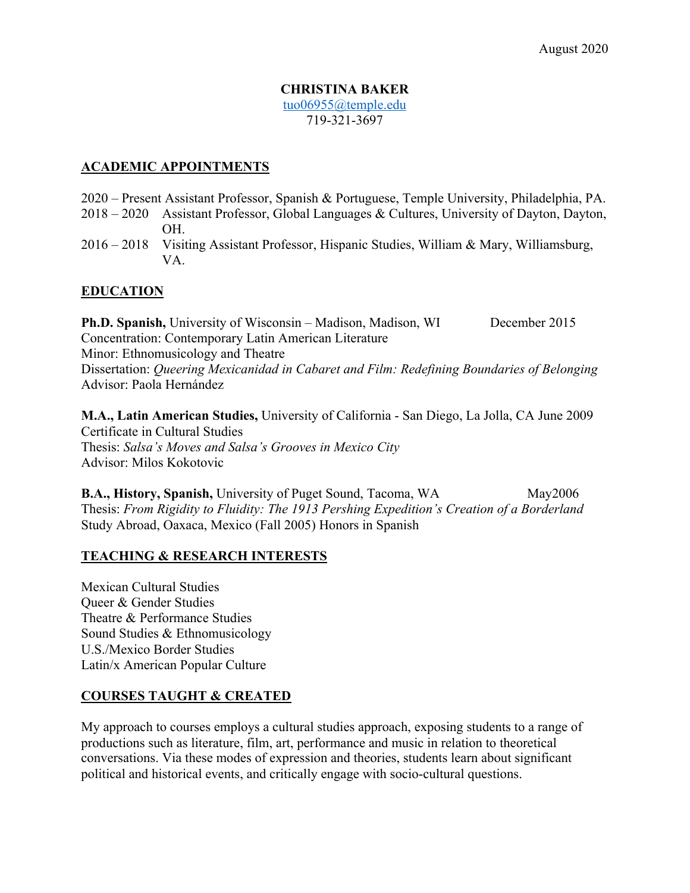#### **CHRISTINA BAKER** tuo06955@temple.edu 719-321-3697

### **ACADEMIC APPOINTMENTS**

- 2020 Present Assistant Professor, Spanish & Portuguese, Temple University, Philadelphia, PA.
- 2018 2020 Assistant Professor, Global Languages & Cultures, University of Dayton, Dayton, OH.
- 2016 2018 Visiting Assistant Professor, Hispanic Studies, William & Mary, Williamsburg, VA.

## **EDUCATION**

**Ph.D. Spanish,** University of Wisconsin – Madison, Madison, WI December 2015 Concentration: Contemporary Latin American Literature Minor: Ethnomusicology and Theatre Dissertation: *Queering Mexicanidad in Cabaret and Film: Redefining Boundaries of Belonging* Advisor: Paola Hernández

**M.A., Latin American Studies,** University of California - San Diego, La Jolla, CA June 2009 Certificate in Cultural Studies Thesis: *Salsa's Moves and Salsa's Grooves in Mexico City* Advisor: Milos Kokotovic

**B.A., History, Spanish, University of Puget Sound, Tacoma, WA May2006** Thesis: *From Rigidity to Fluidity: The 1913 Pershing Expedition's Creation of a Borderland* Study Abroad, Oaxaca, Mexico (Fall 2005) Honors in Spanish

## **TEACHING & RESEARCH INTERESTS**

Mexican Cultural Studies Queer & Gender Studies Theatre & Performance Studies Sound Studies & Ethnomusicology U.S./Mexico Border Studies Latin/x American Popular Culture

## **COURSES TAUGHT & CREATED**

My approach to courses employs a cultural studies approach, exposing students to a range of productions such as literature, film, art, performance and music in relation to theoretical conversations. Via these modes of expression and theories, students learn about significant political and historical events, and critically engage with socio-cultural questions.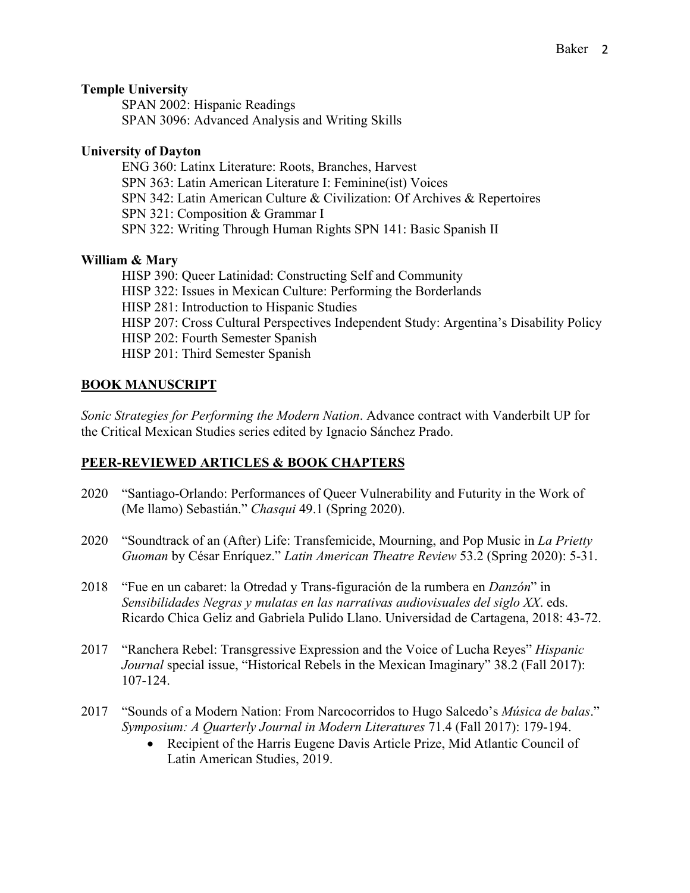### **Temple University**

SPAN 2002: Hispanic Readings SPAN 3096: Advanced Analysis and Writing Skills

### **University of Dayton**

ENG 360: Latinx Literature: Roots, Branches, Harvest SPN 363: Latin American Literature I: Feminine(ist) Voices SPN 342: Latin American Culture & Civilization: Of Archives & Repertoires SPN 321: Composition & Grammar I SPN 322: Writing Through Human Rights SPN 141: Basic Spanish II

## **William & Mary**

HISP 390: Queer Latinidad: Constructing Self and Community HISP 322: Issues in Mexican Culture: Performing the Borderlands HISP 281: Introduction to Hispanic Studies HISP 207: Cross Cultural Perspectives Independent Study: Argentina's Disability Policy HISP 202: Fourth Semester Spanish HISP 201: Third Semester Spanish

## **BOOK MANUSCRIPT**

*Sonic Strategies for Performing the Modern Nation*. Advance contract with Vanderbilt UP for the Critical Mexican Studies series edited by Ignacio Sánchez Prado.

## **PEER-REVIEWED ARTICLES & BOOK CHAPTERS**

- 2020 "Santiago-Orlando: Performances of Queer Vulnerability and Futurity in the Work of (Me llamo) Sebastián." *Chasqui* 49.1 (Spring 2020).
- 2020 "Soundtrack of an (After) Life: Transfemicide, Mourning, and Pop Music in *La Prietty Guoman* by César Enríquez." *Latin American Theatre Review* 53.2 (Spring 2020): 5-31.
- 2018 "Fue en un cabaret: la Otredad y Trans-figuración de la rumbera en *Danzón*" in *Sensibilidades Negras y mulatas en las narrativas audiovisuales del siglo XX*. eds. Ricardo Chica Geliz and Gabriela Pulido Llano. Universidad de Cartagena, 2018: 43-72.
- 2017 "Ranchera Rebel: Transgressive Expression and the Voice of Lucha Reyes" *Hispanic Journal* special issue, "Historical Rebels in the Mexican Imaginary" 38.2 (Fall 2017): 107-124.
- 2017 "Sounds of a Modern Nation: From Narcocorridos to Hugo Salcedo's *Música de balas*." *Symposium: A Quarterly Journal in Modern Literatures* 71.4 (Fall 2017): 179-194.
	- Recipient of the Harris Eugene Davis Article Prize, Mid Atlantic Council of Latin American Studies, 2019.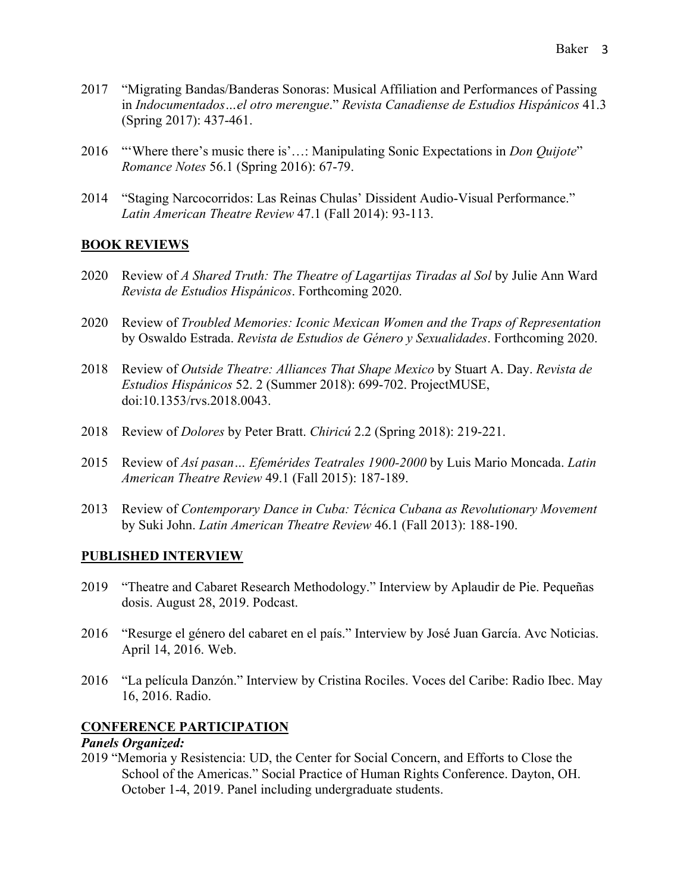- 2017 "Migrating Bandas/Banderas Sonoras: Musical Affiliation and Performances of Passing in *Indocumentados…el otro merengue*." *Revista Canadiense de Estudios Hispánicos* 41.3 (Spring 2017): 437-461.
- 2016 "'Where there's music there is'…: Manipulating Sonic Expectations in *Don Quijote*" *Romance Notes* 56.1 (Spring 2016): 67-79.
- 2014 "Staging Narcocorridos: Las Reinas Chulas' Dissident Audio-Visual Performance." *Latin American Theatre Review* 47.1 (Fall 2014): 93-113.

#### **BOOK REVIEWS**

- 2020 Review of *A Shared Truth: The Theatre of Lagartijas Tiradas al Sol* by Julie Ann Ward *Revista de Estudios Hispánicos*. Forthcoming 2020.
- 2020 Review of *Troubled Memories: Iconic Mexican Women and the Traps of Representation* by Oswaldo Estrada. *Revista de Estudios de Género y Sexualidades*. Forthcoming 2020.
- 2018 Review of *Outside Theatre: Alliances That Shape Mexico* by Stuart A. Day. *Revista de Estudios Hispánicos* 52. 2 (Summer 2018): 699-702. ProjectMUSE, doi:10.1353/rvs.2018.0043.
- 2018 Review of *Dolores* by Peter Bratt. *Chiricú* 2.2 (Spring 2018): 219-221.
- 2015 Review of *Así pasan… Efemérides Teatrales 1900-2000* by Luis Mario Moncada. *Latin American Theatre Review* 49.1 (Fall 2015): 187-189.
- 2013 Review of *Contemporary Dance in Cuba: Técnica Cubana as Revolutionary Movement* by Suki John. *Latin American Theatre Review* 46.1 (Fall 2013): 188-190.

#### **PUBLISHED INTERVIEW**

- 2019 "Theatre and Cabaret Research Methodology." Interview by Aplaudir de Pie. Pequeñas dosis. August 28, 2019. Podcast.
- 2016 "Resurge el género del cabaret en el país." Interview by José Juan García. Avc Noticias. April 14, 2016. Web.
- 2016 "La película Danzón." Interview by Cristina Rociles. Voces del Caribe: Radio Ibec. May 16, 2016. Radio.

#### **CONFERENCE PARTICIPATION**

#### *Panels Organized:*

2019 "Memoria y Resistencia: UD, the Center for Social Concern, and Efforts to Close the School of the Americas." Social Practice of Human Rights Conference. Dayton, OH. October 1-4, 2019. Panel including undergraduate students.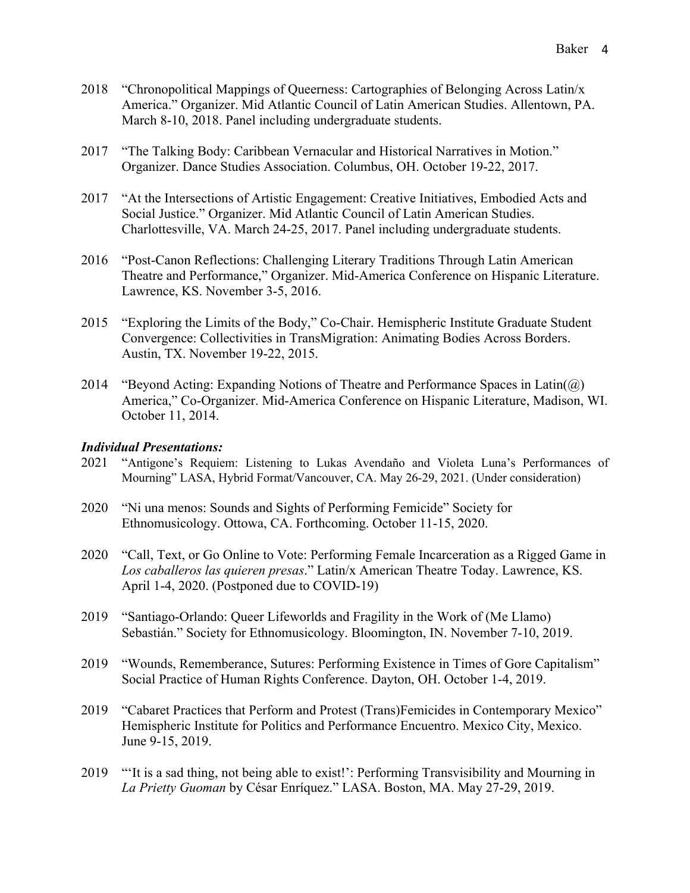- 2018 "Chronopolitical Mappings of Queerness: Cartographies of Belonging Across Latin/x America." Organizer. Mid Atlantic Council of Latin American Studies. Allentown, PA. March 8-10, 2018. Panel including undergraduate students.
- 2017 "The Talking Body: Caribbean Vernacular and Historical Narratives in Motion." Organizer. Dance Studies Association. Columbus, OH. October 19-22, 2017.
- 2017 "At the Intersections of Artistic Engagement: Creative Initiatives, Embodied Acts and Social Justice." Organizer. Mid Atlantic Council of Latin American Studies. Charlottesville, VA. March 24-25, 2017. Panel including undergraduate students.
- 2016 "Post-Canon Reflections: Challenging Literary Traditions Through Latin American Theatre and Performance," Organizer. Mid-America Conference on Hispanic Literature. Lawrence, KS. November 3-5, 2016.
- 2015 "Exploring the Limits of the Body," Co-Chair. Hemispheric Institute Graduate Student Convergence: Collectivities in TransMigration: Animating Bodies Across Borders. Austin, TX. November 19-22, 2015.
- 2014 "Beyond Acting: Expanding Notions of Theatre and Performance Spaces in Latin( $\omega$ ) America," Co-Organizer. Mid-America Conference on Hispanic Literature, Madison, WI. October 11, 2014.

#### *Individual Presentations:*

- 2021 "Antigone's Requiem: Listening to Lukas Avendaño and Violeta Luna's Performances of Mourning" LASA, Hybrid Format/Vancouver, CA. May 26-29, 2021. (Under consideration)
- 2020 "Ni una menos: Sounds and Sights of Performing Femicide" Society for Ethnomusicology. Ottowa, CA. Forthcoming. October 11-15, 2020.
- 2020 "Call, Text, or Go Online to Vote: Performing Female Incarceration as a Rigged Game in *Los caballeros las quieren presas*." Latin/x American Theatre Today. Lawrence, KS. April 1-4, 2020. (Postponed due to COVID-19)
- 2019 "Santiago-Orlando: Queer Lifeworlds and Fragility in the Work of (Me Llamo) Sebastián." Society for Ethnomusicology. Bloomington, IN. November 7-10, 2019.
- 2019 "Wounds, Rememberance, Sutures: Performing Existence in Times of Gore Capitalism" Social Practice of Human Rights Conference. Dayton, OH. October 1-4, 2019.
- 2019 "Cabaret Practices that Perform and Protest (Trans)Femicides in Contemporary Mexico" Hemispheric Institute for Politics and Performance Encuentro. Mexico City, Mexico. June 9-15, 2019.
- 2019 "'It is a sad thing, not being able to exist!': Performing Transvisibility and Mourning in *La Prietty Guoman* by César Enríquez." LASA. Boston, MA. May 27-29, 2019.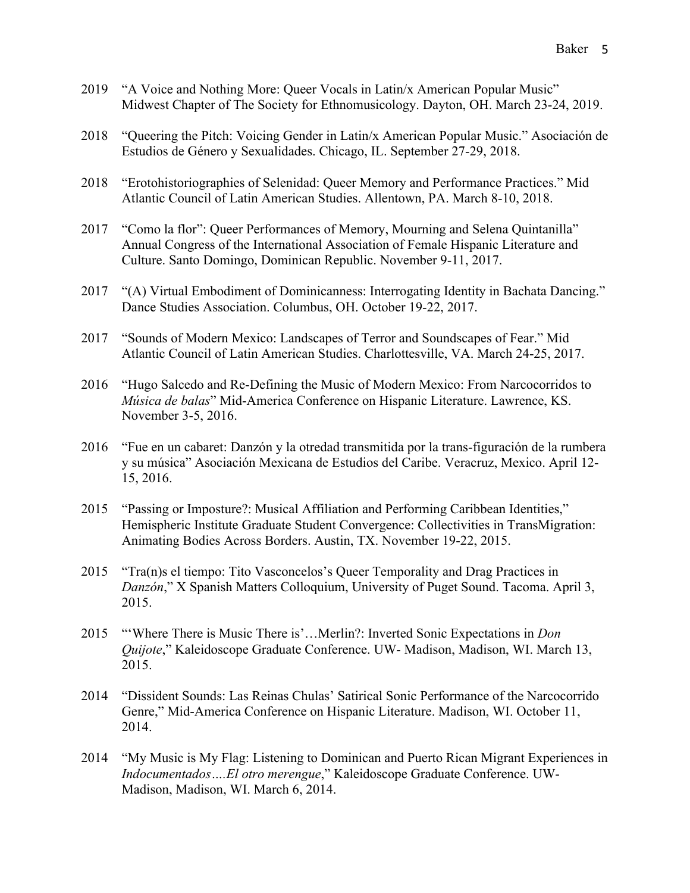- 2019 "A Voice and Nothing More: Queer Vocals in Latin/x American Popular Music" Midwest Chapter of The Society for Ethnomusicology. Dayton, OH. March 23-24, 2019.
- 2018 "Queering the Pitch: Voicing Gender in Latin/x American Popular Music." Asociación de Estudios de Género y Sexualidades. Chicago, IL. September 27-29, 2018.
- 2018 "Erotohistoriographies of Selenidad: Queer Memory and Performance Practices." Mid Atlantic Council of Latin American Studies. Allentown, PA. March 8-10, 2018.
- 2017 "Como la flor": Queer Performances of Memory, Mourning and Selena Quintanilla" Annual Congress of the International Association of Female Hispanic Literature and Culture. Santo Domingo, Dominican Republic. November 9-11, 2017.
- 2017 "(A) Virtual Embodiment of Dominicanness: Interrogating Identity in Bachata Dancing." Dance Studies Association. Columbus, OH. October 19-22, 2017.
- 2017 "Sounds of Modern Mexico: Landscapes of Terror and Soundscapes of Fear." Mid Atlantic Council of Latin American Studies. Charlottesville, VA. March 24-25, 2017.
- 2016 "Hugo Salcedo and Re-Defining the Music of Modern Mexico: From Narcocorridos to *Música de balas*" Mid-America Conference on Hispanic Literature. Lawrence, KS. November 3-5, 2016.
- 2016 "Fue en un cabaret: Danzón y la otredad transmitida por la trans-figuración de la rumbera y su música" Asociación Mexicana de Estudios del Caribe. Veracruz, Mexico. April 12- 15, 2016.
- 2015 "Passing or Imposture?: Musical Affiliation and Performing Caribbean Identities," Hemispheric Institute Graduate Student Convergence: Collectivities in TransMigration: Animating Bodies Across Borders. Austin, TX. November 19-22, 2015.
- 2015 "Tra(n)s el tiempo: Tito Vasconcelos's Queer Temporality and Drag Practices in *Danzón*," X Spanish Matters Colloquium, University of Puget Sound. Tacoma. April 3, 2015.
- 2015 "'Where There is Music There is'…Merlin?: Inverted Sonic Expectations in *Don Quijote*," Kaleidoscope Graduate Conference. UW- Madison, Madison, WI. March 13, 2015.
- 2014 "Dissident Sounds: Las Reinas Chulas' Satirical Sonic Performance of the Narcocorrido Genre," Mid-America Conference on Hispanic Literature. Madison, WI. October 11, 2014.
- 2014 "My Music is My Flag: Listening to Dominican and Puerto Rican Migrant Experiences in *Indocumentados….El otro merengue*," Kaleidoscope Graduate Conference. UW-Madison, Madison, WI. March 6, 2014.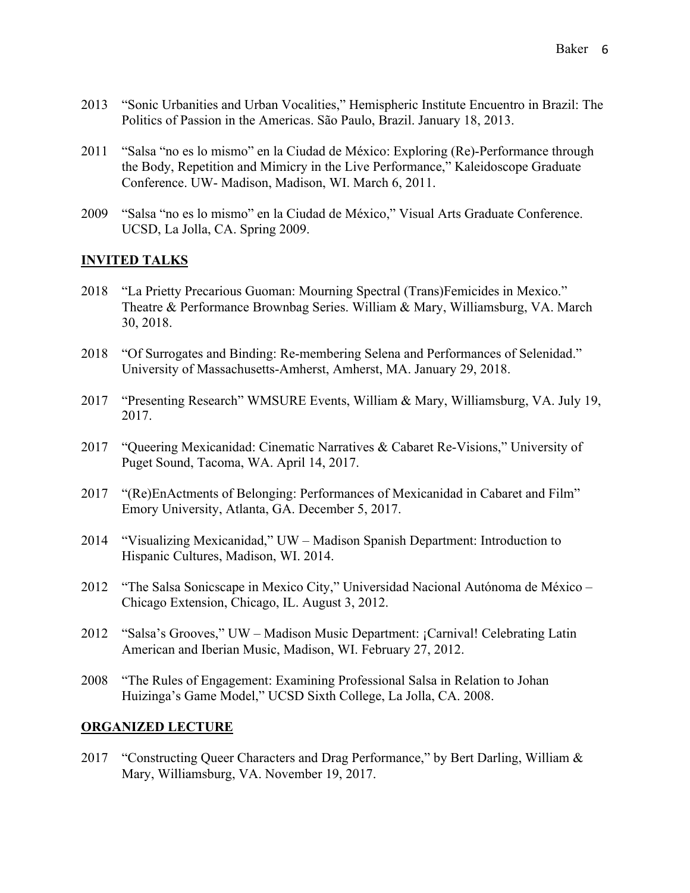- 2013 "Sonic Urbanities and Urban Vocalities," Hemispheric Institute Encuentro in Brazil: The Politics of Passion in the Americas. São Paulo, Brazil. January 18, 2013.
- 2011 "Salsa "no es lo mismo" en la Ciudad de México: Exploring (Re)-Performance through the Body, Repetition and Mimicry in the Live Performance," Kaleidoscope Graduate Conference. UW- Madison, Madison, WI. March 6, 2011.
- 2009 "Salsa "no es lo mismo" en la Ciudad de México," Visual Arts Graduate Conference. UCSD, La Jolla, CA. Spring 2009.

### **INVITED TALKS**

- 2018 "La Prietty Precarious Guoman: Mourning Spectral (Trans)Femicides in Mexico." Theatre & Performance Brownbag Series. William & Mary, Williamsburg, VA. March 30, 2018.
- 2018 "Of Surrogates and Binding: Re-membering Selena and Performances of Selenidad." University of Massachusetts-Amherst, Amherst, MA. January 29, 2018.
- 2017 "Presenting Research" WMSURE Events, William & Mary, Williamsburg, VA. July 19, 2017.
- 2017 "Queering Mexicanidad: Cinematic Narratives & Cabaret Re-Visions," University of Puget Sound, Tacoma, WA. April 14, 2017.
- 2017 "(Re)EnActments of Belonging: Performances of Mexicanidad in Cabaret and Film" Emory University, Atlanta, GA. December 5, 2017.
- 2014 "Visualizing Mexicanidad," UW Madison Spanish Department: Introduction to Hispanic Cultures, Madison, WI. 2014.
- 2012 "The Salsa Sonicscape in Mexico City," Universidad Nacional Autónoma de México Chicago Extension, Chicago, IL. August 3, 2012.
- 2012 "Salsa's Grooves," UW Madison Music Department: ¡Carnival! Celebrating Latin American and Iberian Music, Madison, WI. February 27, 2012.
- 2008 "The Rules of Engagement: Examining Professional Salsa in Relation to Johan Huizinga's Game Model," UCSD Sixth College, La Jolla, CA. 2008.

#### **ORGANIZED LECTURE**

2017 "Constructing Queer Characters and Drag Performance," by Bert Darling, William & Mary, Williamsburg, VA. November 19, 2017.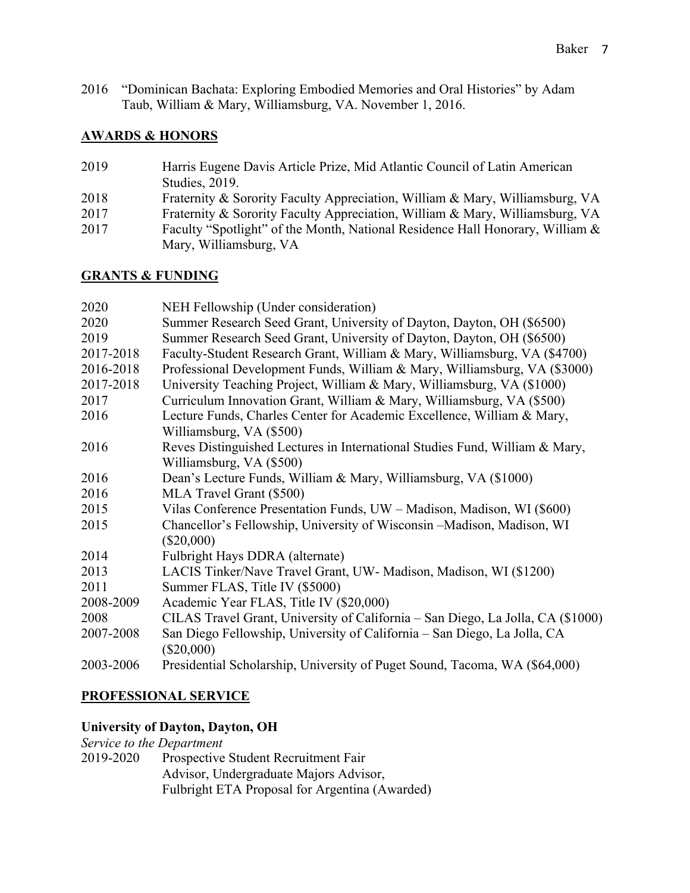2016 "Dominican Bachata: Exploring Embodied Memories and Oral Histories" by Adam Taub, William & Mary, Williamsburg, VA. November 1, 2016.

### **AWARDS & HONORS**

- 2019 Harris Eugene Davis Article Prize, Mid Atlantic Council of Latin American Studies, 2019.
- 2018 Fraternity & Sorority Faculty Appreciation, William & Mary, Williamsburg, VA
- 2017 Fraternity & Sorority Faculty Appreciation, William & Mary, Williamsburg, VA
- 2017 Faculty "Spotlight" of the Month, National Residence Hall Honorary, William & Mary, Williamsburg, VA

### **GRANTS & FUNDING**

| 2020      | NEH Fellowship (Under consideration)                                                     |
|-----------|------------------------------------------------------------------------------------------|
| 2020      | Summer Research Seed Grant, University of Dayton, Dayton, OH (\$6500)                    |
| 2019      | Summer Research Seed Grant, University of Dayton, Dayton, OH (\$6500)                    |
| 2017-2018 | Faculty-Student Research Grant, William & Mary, Williamsburg, VA (\$4700)                |
| 2016-2018 | Professional Development Funds, William & Mary, Williamsburg, VA (\$3000)                |
| 2017-2018 | University Teaching Project, William & Mary, Williamsburg, VA (\$1000)                   |
| 2017      | Curriculum Innovation Grant, William & Mary, Williamsburg, VA (\$500)                    |
| 2016      | Lecture Funds, Charles Center for Academic Excellence, William & Mary,                   |
|           | Williamsburg, VA (\$500)                                                                 |
| 2016      | Reves Distinguished Lectures in International Studies Fund, William & Mary,              |
|           | Williamsburg, VA (\$500)                                                                 |
| 2016      | Dean's Lecture Funds, William & Mary, Williamsburg, VA (\$1000)                          |
| 2016      | MLA Travel Grant (\$500)                                                                 |
| 2015      | Vilas Conference Presentation Funds, UW - Madison, Madison, WI (\$600)                   |
| 2015      | Chancellor's Fellowship, University of Wisconsin -Madison, Madison, WI                   |
|           | $(\$20,000)$                                                                             |
| 2014      | Fulbright Hays DDRA (alternate)                                                          |
| 2013      | LACIS Tinker/Nave Travel Grant, UW- Madison, Madison, WI (\$1200)                        |
| 2011      | Summer FLAS, Title IV (\$5000)                                                           |
| 2008-2009 | Academic Year FLAS, Title IV (\$20,000)                                                  |
| 2008      | CILAS Travel Grant, University of California - San Diego, La Jolla, CA (\$1000)          |
| 2007-2008 | San Diego Fellowship, University of California – San Diego, La Jolla, CA<br>$(\$20,000)$ |
| 2003-2006 | Presidential Scholarship, University of Puget Sound, Tacoma, WA (\$64,000)               |

# **PROFESSIONAL SERVICE**

#### **University of Dayton, Dayton, OH**

## *Service to the Department*

2019-2020 Prospective Student Recruitment Fair Advisor, Undergraduate Majors Advisor, Fulbright ETA Proposal for Argentina (Awarded)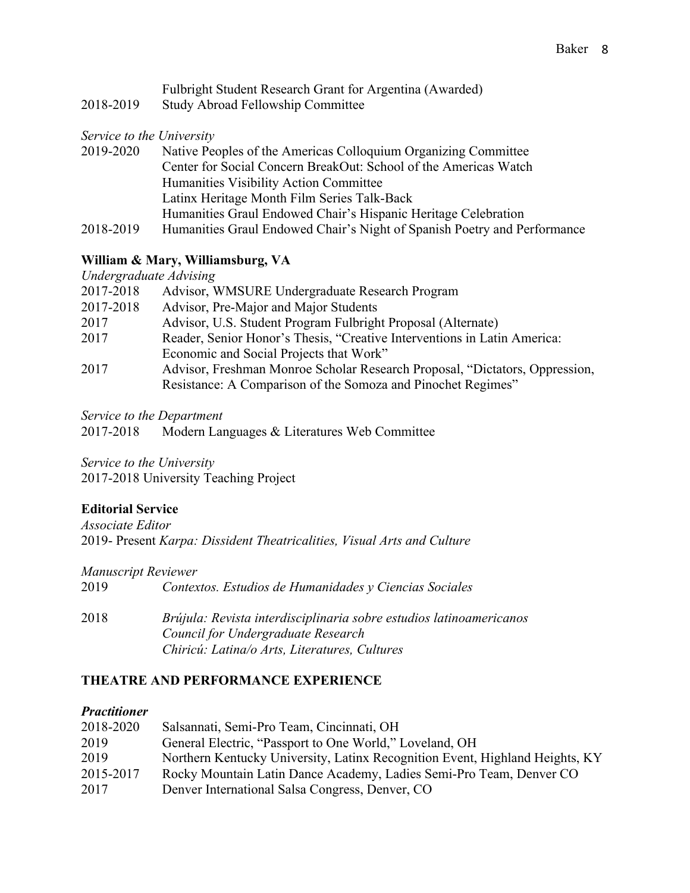|           | Fulbright Student Research Grant for Argentina (Awarded) |
|-----------|----------------------------------------------------------|
| 2018-2019 | <b>Study Abroad Fellowship Committee</b>                 |

*Service to the University*

| 2019-2020 | Native Peoples of the Americas Colloquium Organizing Committee           |
|-----------|--------------------------------------------------------------------------|
|           | Center for Social Concern BreakOut: School of the Americas Watch         |
|           | Humanities Visibility Action Committee                                   |
|           | Latinx Heritage Month Film Series Talk-Back                              |
|           | Humanities Graul Endowed Chair's Hispanic Heritage Celebration           |
| 2018-2019 | Humanities Graul Endowed Chair's Night of Spanish Poetry and Performance |

### **William & Mary, Williamsburg, VA**

*Undergraduate Advising*

| 2017-2018 | Advisor, WMSURE Undergraduate Research Program                              |
|-----------|-----------------------------------------------------------------------------|
| 2017-2018 | Advisor, Pre-Major and Major Students                                       |
| 2017      | Advisor, U.S. Student Program Fulbright Proposal (Alternate)                |
| 2017      | Reader, Senior Honor's Thesis, "Creative Interventions in Latin America:    |
|           | Economic and Social Projects that Work"                                     |
| 2017      | Advisor, Freshman Monroe Scholar Research Proposal, "Dictators, Oppression, |
|           | Resistance: A Comparison of the Somoza and Pinochet Regimes"                |

*Service to the Department*

2017-2018 Modern Languages & Literatures Web Committee

*Service to the University* 2017-2018 University Teaching Project

### **Editorial Service**

*Associate Editor* 2019- Present *Karpa: Dissident Theatricalities, Visual Arts and Culture*

#### *Manuscript Reviewer*

2019 *Contextos. Estudios de Humanidades y Ciencias Sociales*

2018 *Brújula: Revista interdisciplinaria sobre estudios latinoamericanos Council for Undergraduate Research Chiricú: Latina/o Arts, Literatures, Cultures*

#### **THEATRE AND PERFORMANCE EXPERIENCE**

#### *Practitioner*

| 2018-2020 | Salsannati, Semi-Pro Team, Cincinnati, OH                                    |
|-----------|------------------------------------------------------------------------------|
| 2019      | General Electric, "Passport to One World," Loveland, OH                      |
| 2019      | Northern Kentucky University, Latinx Recognition Event, Highland Heights, KY |
| 2015-2017 | Rocky Mountain Latin Dance Academy, Ladies Semi-Pro Team, Denver CO          |
| 2017      | Denver International Salsa Congress, Denver, CO                              |